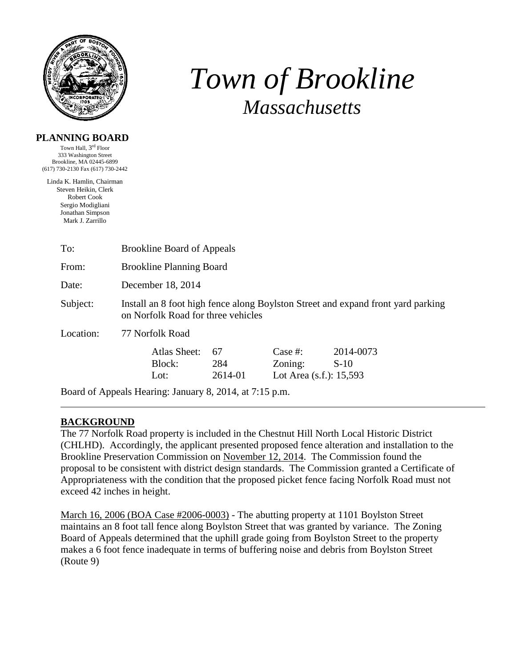

# *Town of Brookline Massachusetts*

#### **PLANNING BOARD**

Town Hall, 3<sup>rd</sup> Floor 333 Washington Street Brookline, MA 02445-6899 (617) 730-2130 Fax (617) 730-2442

Linda K. Hamlin, Chairman Steven Heikin, Clerk Robert Cook Sergio Modigliani Jonathan Simpson Mark J. Zarrillo

| To:       | <b>Brookline Board of Appeals</b>                                                                                      |                      |                                                  |                     |  |  |
|-----------|------------------------------------------------------------------------------------------------------------------------|----------------------|--------------------------------------------------|---------------------|--|--|
| From:     | <b>Brookline Planning Board</b>                                                                                        |                      |                                                  |                     |  |  |
| Date:     | December 18, 2014                                                                                                      |                      |                                                  |                     |  |  |
| Subject:  | Install an 8 foot high fence along Boylston Street and expand front yard parking<br>on Norfolk Road for three vehicles |                      |                                                  |                     |  |  |
| Location: | 77 Norfolk Road                                                                                                        |                      |                                                  |                     |  |  |
|           | Atlas Sheet:<br>Block:<br>Lot:                                                                                         | 67<br>284<br>2614-01 | Case #:<br>Zoning:<br>Lot Area $(s.f.)$ : 15,593 | 2014-0073<br>$S-10$ |  |  |
|           | Board of Appeals Hearing: January 8, 2014, at 7:15 p.m.                                                                |                      |                                                  |                     |  |  |

## **BACKGROUND**

The 77 Norfolk Road property is included in the Chestnut Hill North Local Historic District (CHLHD). Accordingly, the applicant presented proposed fence alteration and installation to the Brookline Preservation Commission on November 12, 2014. The Commission found the proposal to be consistent with district design standards. The Commission granted a Certificate of Appropriateness with the condition that the proposed picket fence facing Norfolk Road must not exceed 42 inches in height.

March 16, 2006 (BOA Case #2006-0003) - The abutting property at 1101 Boylston Street maintains an 8 foot tall fence along Boylston Street that was granted by variance. The Zoning Board of Appeals determined that the uphill grade going from Boylston Street to the property makes a 6 foot fence inadequate in terms of buffering noise and debris from Boylston Street (Route 9)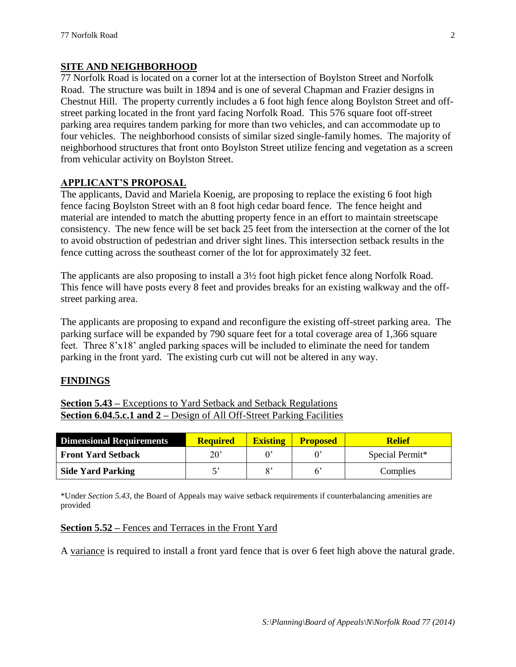## **SITE AND NEIGHBORHOOD**

77 Norfolk Road is located on a corner lot at the intersection of Boylston Street and Norfolk Road. The structure was built in 1894 and is one of several Chapman and Frazier designs in Chestnut Hill. The property currently includes a 6 foot high fence along Boylston Street and offstreet parking located in the front yard facing Norfolk Road. This 576 square foot off-street parking area requires tandem parking for more than two vehicles, and can accommodate up to four vehicles. The neighborhood consists of similar sized single-family homes. The majority of neighborhood structures that front onto Boylston Street utilize fencing and vegetation as a screen from vehicular activity on Boylston Street.

## **APPLICANT'S PROPOSAL**

The applicants, David and Mariela Koenig, are proposing to replace the existing 6 foot high fence facing Boylston Street with an 8 foot high cedar board fence. The fence height and material are intended to match the abutting property fence in an effort to maintain streetscape consistency. The new fence will be set back 25 feet from the intersection at the corner of the lot to avoid obstruction of pedestrian and driver sight lines. This intersection setback results in the fence cutting across the southeast corner of the lot for approximately 32 feet.

The applicants are also proposing to install a 3½ foot high picket fence along Norfolk Road. This fence will have posts every 8 feet and provides breaks for an existing walkway and the offstreet parking area.

The applicants are proposing to expand and reconfigure the existing off-street parking area. The parking surface will be expanded by 790 square feet for a total coverage area of 1,366 square feet. Three 8'x18' angled parking spaces will be included to eliminate the need for tandem parking in the front yard. The existing curb cut will not be altered in any way.

## **FINDINGS**

**Section 5.43 –** Exceptions to Yard Setback and Setback Regulations **Section 6.04.5.c.1 and 2 –** Design of All Off-Street Parking Facilities

| <b>Dimensional Requirements</b> | <b>Required</b> | <b>Existing</b> | <b>Proposed</b> | <b>Relief</b>   |
|---------------------------------|-----------------|-----------------|-----------------|-----------------|
| <b>Front Yard Setback</b>       | 20'             |                 |                 | Special Permit* |
| <b>Side Yard Parking</b>        |                 | $\mathbf{o}$ ,  |                 | Complies        |

\*Under *Section 5.43*, the Board of Appeals may waive setback requirements if counterbalancing amenities are provided

## **Section 5.52 –** Fences and Terraces in the Front Yard

A variance is required to install a front yard fence that is over 6 feet high above the natural grade.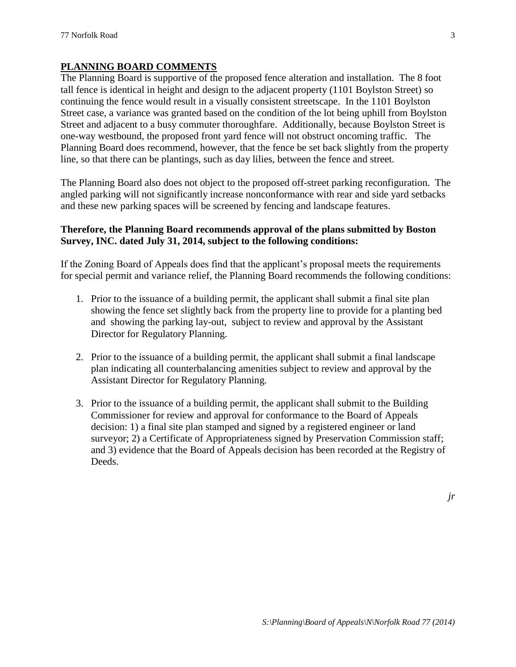#### **PLANNING BOARD COMMENTS**

The Planning Board is supportive of the proposed fence alteration and installation. The 8 foot tall fence is identical in height and design to the adjacent property (1101 Boylston Street) so continuing the fence would result in a visually consistent streetscape. In the 1101 Boylston Street case, a variance was granted based on the condition of the lot being uphill from Boylston Street and adjacent to a busy commuter thoroughfare. Additionally, because Boylston Street is one-way westbound, the proposed front yard fence will not obstruct oncoming traffic. The Planning Board does recommend, however, that the fence be set back slightly from the property line, so that there can be plantings, such as day lilies, between the fence and street.

The Planning Board also does not object to the proposed off-street parking reconfiguration. The angled parking will not significantly increase nonconformance with rear and side yard setbacks and these new parking spaces will be screened by fencing and landscape features.

## **Therefore, the Planning Board recommends approval of the plans submitted by Boston Survey, INC. dated July 31, 2014, subject to the following conditions:**

If the Zoning Board of Appeals does find that the applicant's proposal meets the requirements for special permit and variance relief, the Planning Board recommends the following conditions:

- 1. Prior to the issuance of a building permit, the applicant shall submit a final site plan showing the fence set slightly back from the property line to provide for a planting bed and showing the parking lay-out, subject to review and approval by the Assistant Director for Regulatory Planning.
- 2. Prior to the issuance of a building permit, the applicant shall submit a final landscape plan indicating all counterbalancing amenities subject to review and approval by the Assistant Director for Regulatory Planning.
- 3. Prior to the issuance of a building permit, the applicant shall submit to the Building Commissioner for review and approval for conformance to the Board of Appeals decision: 1) a final site plan stamped and signed by a registered engineer or land surveyor; 2) a Certificate of Appropriateness signed by Preservation Commission staff; and 3) evidence that the Board of Appeals decision has been recorded at the Registry of Deeds.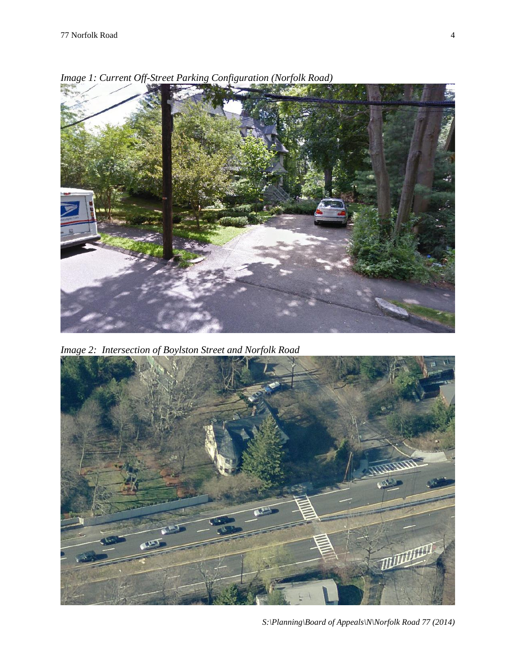

*Image 1: Current Off-Street Parking Configuration (Norfolk Road)*

*Image 2: Intersection of Boylston Street and Norfolk Road*



*S:\Planning\Board of Appeals\N\Norfolk Road 77 (2014)*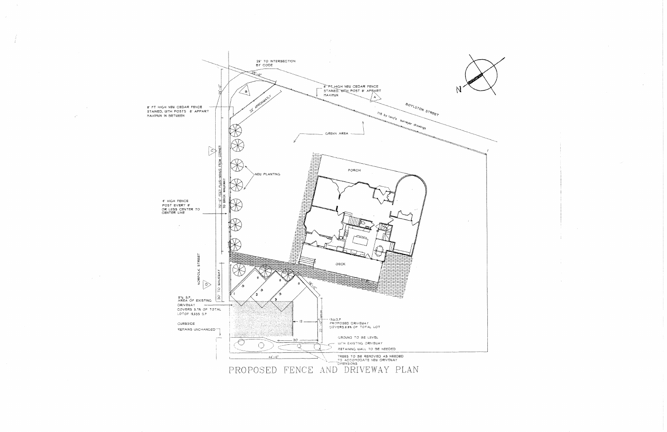

 $\frac{1}{2}$ 

 $\sim$ 

 $\frac{1}{2} \frac{1}{2} \frac{1}{2} \frac{1}{2} \frac{1}{2}$